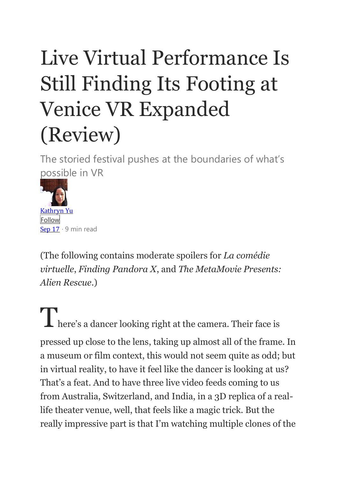## Live Virtual Performance Is Still Finding Its Footing at Venice VR Expanded (Review)

The storied festival pushes at the boundaries of what's possible in VR



(The following contains moderate spoilers for *La comédie virtuelle*, *Finding Pandora X*, and *The MetaMovie Presents: Alien Rescue*.)

There's a dancer looking right at the camera. Their face is pressed up close to the lens, taking up almost all of the frame. In a museum or film context, this would not seem quite as odd; but in virtual reality, to have it feel like the dancer is looking at us? That's a feat. And to have three live video feeds coming to us from Australia, Switzerland, and India, in a 3D replica of a reallife theater venue, well, that feels like a magic trick. But the really impressive part is that I'm watching multiple clones of the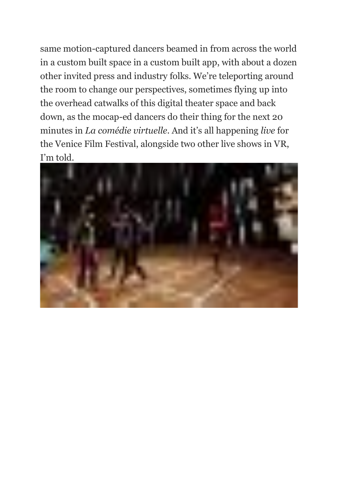same motion-captured dancers beamed in from across the world in a custom built space in a custom built app, with about a dozen other invited press and industry folks. We're teleporting around the room to change our perspectives, sometimes flying up into the overhead catwalks of this digital theater space and back down, as the mocap-ed dancers do their thing for the next 20 minutes in *La comédie virtuelle*. And it's all happening *live* for the Venice Film Festival, alongside two other live shows in VR, I'm told.

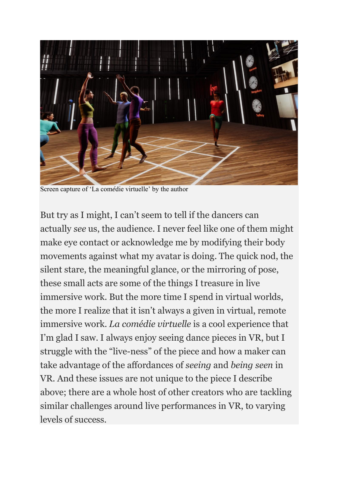

Screen capture of 'La com*é*die virtuelle' by the author

But try as I might, I can't seem to tell if the dancers can actually *see* us, the audience. I never feel like one of them might make eye contact or acknowledge me by modifying their body movements against what my avatar is doing. The quick nod, the silent stare, the meaningful glance, or the mirroring of pose, these small acts are some of the things I treasure in live immersive work. But the more time I spend in virtual worlds, the more I realize that it isn't always a given in virtual, remote immersive work. *La comédie virtuelle* is a cool experience that I'm glad I saw. I always enjoy seeing dance pieces in VR, but I struggle with the "live-ness" of the piece and how a maker can take advantage of the affordances of *seeing* and *being seen* in VR. And these issues are not unique to the piece I describe above; there are a whole host of other creators who are tackling similar challenges around live performances in VR, to varying levels of success.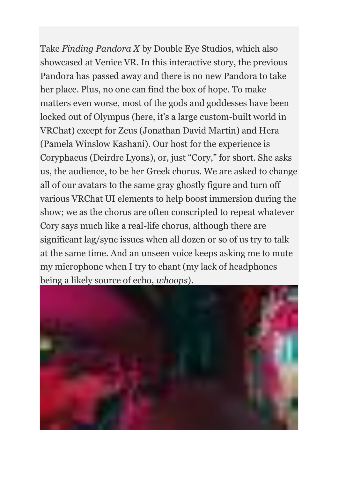Take *Finding Pandora X* by Double Eye Studios, which also showcased at Venice VR. In this interactive story, the previous Pandora has passed away and there is no new Pandora to take her place. Plus, no one can find the box of hope. To make matters even worse, most of the gods and goddesses have been locked out of Olympus (here, it's a large custom-built world in VRChat) except for Zeus (Jonathan David Martin) and Hera (Pamela Winslow Kashani). Our host for the experience is Coryphaeus (Deirdre Lyons), or, just "Cory," for short. She asks us, the audience, to be her Greek chorus. We are asked to change all of our avatars to the same gray ghostly figure and turn off various VRChat UI elements to help boost immersion during the show; we as the chorus are often conscripted to repeat whatever Cory says much like a real-life chorus, although there are significant lag/sync issues when all dozen or so of us try to talk at the same time. And an unseen voice keeps asking me to mute my microphone when I try to chant (my lack of headphones being a likely source of echo, *whoops*).

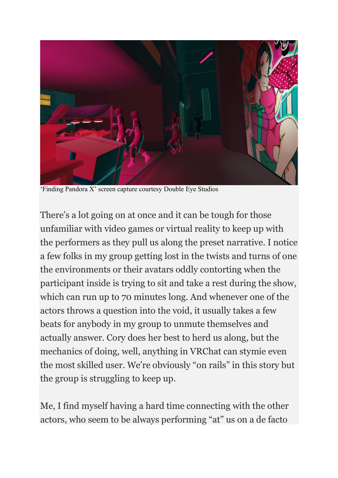

'Finding Pandora X' screen capture courtesy Double Eye Studios

There's a lot going on at once and it can be tough for those unfamiliar with video games or virtual reality to keep up with the performers as they pull us along the preset narrative. I notice a few folks in my group getting lost in the twists and turns of one the environments or their avatars oddly contorting when the participant inside is trying to sit and take a rest during the show, which can run up to 70 minutes long. And whenever one of the actors throws a question into the void, it usually takes a few beats for anybody in my group to unmute themselves and actually answer. Cory does her best to herd us along, but the mechanics of doing, well, anything in VRChat can stymie even the most skilled user. We're obviously "on rails" in this story but the group is struggling to keep up.

Me, I find myself having a hard time connecting with the other actors, who seem to be always performing "at" us on a de facto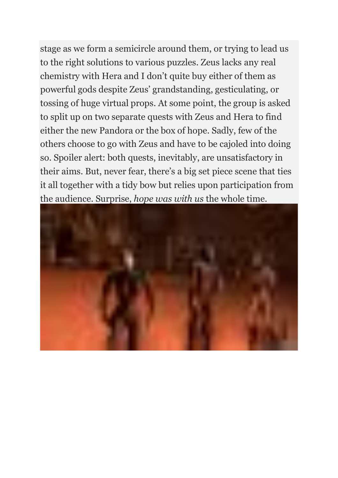stage as we form a semicircle around them, or trying to lead us to the right solutions to various puzzles. Zeus lacks any real chemistry with Hera and I don't quite buy either of them as powerful gods despite Zeus' grandstanding, gesticulating, or tossing of huge virtual props. At some point, the group is asked to split up on two separate quests with Zeus and Hera to find either the new Pandora or the box of hope. Sadly, few of the others choose to go with Zeus and have to be cajoled into doing so. Spoiler alert: both quests, inevitably, are unsatisfactory in their aims. But, never fear, there's a big set piece scene that ties it all together with a tidy bow but relies upon participation from the audience. Surprise, *hope was with us* the whole time.

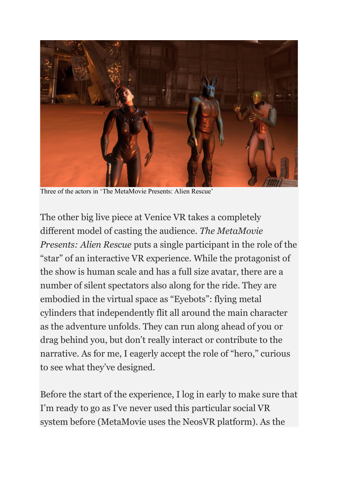

Three of the actors in 'The MetaMovie Presents: Alien Rescue'

The other big live piece at Venice VR takes a completely different model of casting the audience. *The MetaMovie Presents: Alien Rescue* puts a single participant in the role of the "star" of an interactive VR experience. While the protagonist of the show is human scale and has a full size avatar, there are a number of silent spectators also along for the ride. They are embodied in the virtual space as "Eyebots": flying metal cylinders that independently flit all around the main character as the adventure unfolds. They can run along ahead of you or drag behind you, but don't really interact or contribute to the narrative. As for me, I eagerly accept the role of "hero," curious to see what they've designed.

Before the start of the experience, I log in early to make sure that I'm ready to go as I've never used this particular social VR system before (MetaMovie uses the NeosVR platform). As the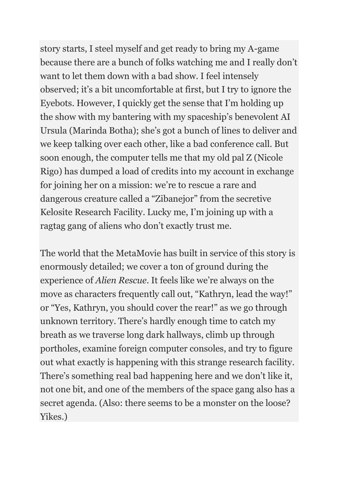story starts, I steel myself and get ready to bring my A-game because there are a bunch of folks watching me and I really don't want to let them down with a bad show. I feel intensely observed; it's a bit uncomfortable at first, but I try to ignore the Eyebots. However, I quickly get the sense that I'm holding up the show with my bantering with my spaceship's benevolent AI Ursula (Marinda Botha); she's got a bunch of lines to deliver and we keep talking over each other, like a bad conference call. But soon enough, the computer tells me that my old pal Z (Nicole Rigo) has dumped a load of credits into my account in exchange for joining her on a mission: we're to rescue a rare and dangerous creature called a "Zibanejor" from the secretive Kelosite Research Facility. Lucky me, I'm joining up with a ragtag gang of aliens who don't exactly trust me.

The world that the MetaMovie has built in service of this story is enormously detailed; we cover a ton of ground during the experience of *Alien Rescue*. It feels like we're always on the move as characters frequently call out, "Kathryn, lead the way!" or "Yes, Kathryn, you should cover the rear!" as we go through unknown territory. There's hardly enough time to catch my breath as we traverse long dark hallways, climb up through portholes, examine foreign computer consoles, and try to figure out what exactly is happening with this strange research facility. There's something real bad happening here and we don't like it, not one bit, and one of the members of the space gang also has a secret agenda. (Also: there seems to be a monster on the loose? Yikes.)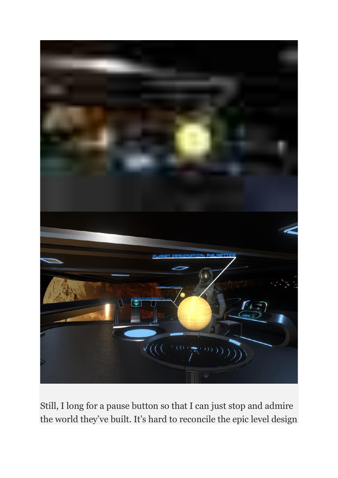

Still, I long for a pause button so that I can just stop and admire the world they've built. It's hard to reconcile the epic level design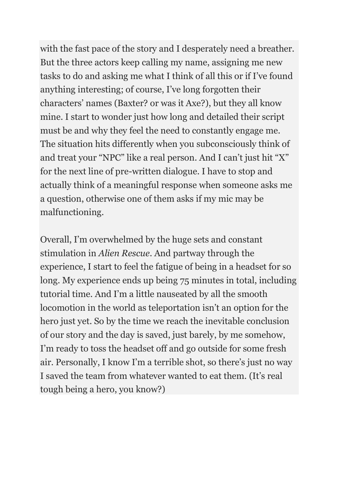with the fast pace of the story and I desperately need a breather. But the three actors keep calling my name, assigning me new tasks to do and asking me what I think of all this or if I've found anything interesting; of course, I've long forgotten their characters' names (Baxter? or was it Axe?), but they all know mine. I start to wonder just how long and detailed their script must be and why they feel the need to constantly engage me. The situation hits differently when you subconsciously think of and treat your "NPC" like a real person. And I can't just hit "X" for the next line of pre-written dialogue. I have to stop and actually think of a meaningful response when someone asks me a question, otherwise one of them asks if my mic may be malfunctioning.

Overall, I'm overwhelmed by the huge sets and constant stimulation in *Alien Rescue*. And partway through the experience, I start to feel the fatigue of being in a headset for so long. My experience ends up being 75 minutes in total, including tutorial time. And I'm a little nauseated by all the smooth locomotion in the world as teleportation isn't an option for the hero just yet. So by the time we reach the inevitable conclusion of our story and the day is saved, just barely, by me somehow, I'm ready to toss the headset off and go outside for some fresh air. Personally, I know I'm a terrible shot, so there's just no way I saved the team from whatever wanted to eat them. (It's real tough being a hero, you know?)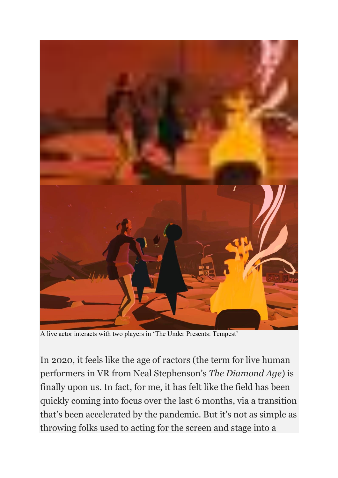

A live actor interacts with two players in 'The Under Presents: Tempest'

In 2020, it feels like the age of ractors (the term for live human performers in VR from Neal Stephenson's *The Diamond Age*) is finally upon us. In fact, for me, it has felt like the field has been quickly coming into focus over the last 6 months, via a transition that's been accelerated by the pandemic. But it's not as simple as throwing folks used to acting for the screen and stage into a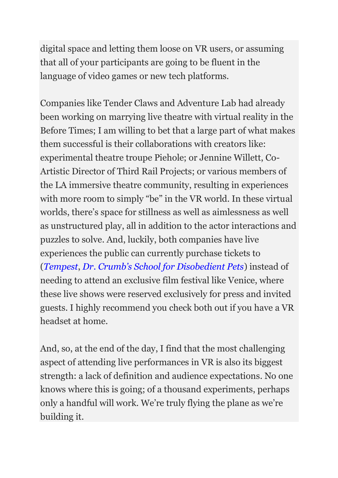digital space and letting them loose on VR users, or assuming that all of your participants are going to be fluent in the language of video games or new tech platforms.

Companies like Tender Claws and Adventure Lab had already been working on marrying live theatre with virtual reality in the Before Times; I am willing to bet that a large part of what makes them successful is their collaborations with creators like: experimental theatre troupe Piehole; or Jennine Willett, Co-Artistic Director of Third Rail Projects; or various members of the LA immersive theatre community, resulting in experiences with more room to simply "be" in the VR world. In these virtual worlds, there's space for stillness as well as aimlessness as well as unstructured play, all in addition to the actor interactions and puzzles to solve. And, luckily, both companies have live experiences the public can currently purchase tickets to (*[Tempest](https://tenderclaws.com/tempest)*, *[Dr. Crumb's School for Disobedient Pets](https://www.adventurelab.fun/)*) instead of needing to attend an exclusive film festival like Venice, where these live shows were reserved exclusively for press and invited guests. I highly recommend you check both out if you have a VR headset at home.

And, so, at the end of the day, I find that the most challenging aspect of attending live performances in VR is also its biggest strength: a lack of definition and audience expectations. No one knows where this is going; of a thousand experiments, perhaps only a handful will work. We're truly flying the plane as we're building it.